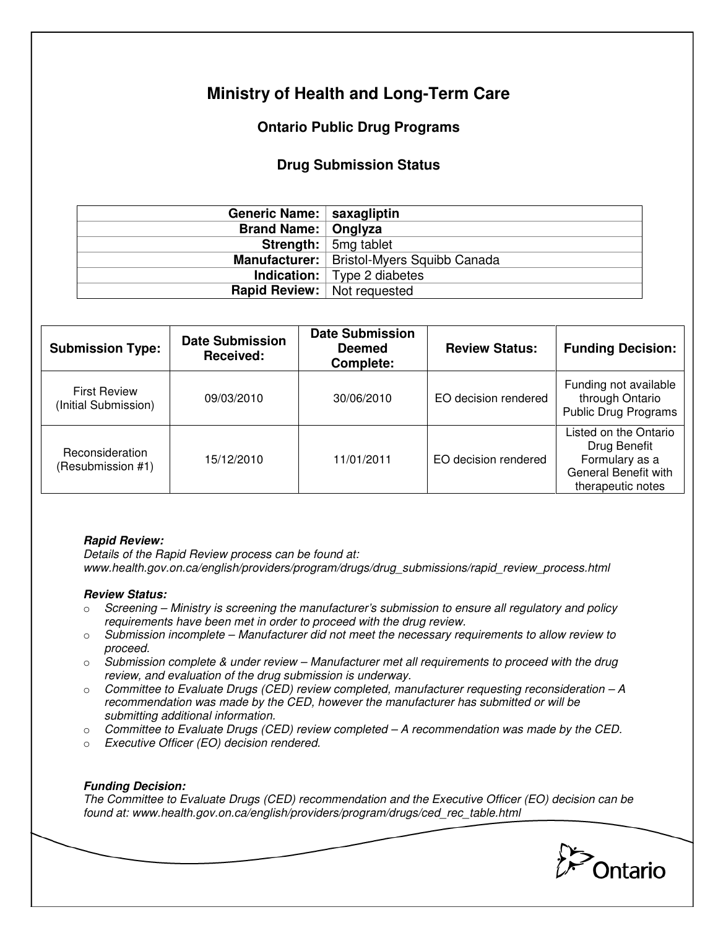# **Ministry of Health and Long-Term Care**

## **Ontario Public Drug Programs**

### **Drug Submission Status**

| Generic Name:   saxagliptin        |                                             |
|------------------------------------|---------------------------------------------|
| <b>Brand Name:   Onglyza</b>       |                                             |
|                                    | <b>Strength:</b> $\vert$ 5mg tablet         |
|                                    | Manufacturer:   Bristol-Myers Squibb Canada |
|                                    | <b>Indication:</b>   Type 2 diabetes        |
| <b>Rapid Review:</b> Not requested |                                             |
|                                    |                                             |

| <b>Submission Type:</b>                     | <b>Date Submission</b><br>Received: | <b>Date Submission</b><br><b>Deemed</b><br>Complete: | <b>Review Status:</b> | <b>Funding Decision:</b>                                                                             |
|---------------------------------------------|-------------------------------------|------------------------------------------------------|-----------------------|------------------------------------------------------------------------------------------------------|
| <b>First Review</b><br>(Initial Submission) | 09/03/2010                          | 30/06/2010                                           | EO decision rendered  | Funding not available<br>through Ontario<br><b>Public Drug Programs</b>                              |
| Reconsideration<br>(Resubmission #1)        | 15/12/2010                          | 11/01/2011                                           | EO decision rendered  | Listed on the Ontario<br>Drug Benefit<br>Formulary as a<br>General Benefit with<br>therapeutic notes |

#### **Rapid Review:**

Details of the Rapid Review process can be found at: www.health.gov.on.ca/english/providers/program/drugs/drug\_submissions/rapid\_review\_process.html

#### **Review Status:**

- $\circ$  Screening Ministry is screening the manufacturer's submission to ensure all regulatory and policy requirements have been met in order to proceed with the drug review.
- $\circ$  Submission incomplete Manufacturer did not meet the necessary requirements to allow review to proceed.
- $\circ$  Submission complete & under review Manufacturer met all requirements to proceed with the drug review, and evaluation of the drug submission is underway.
- $\circ$  Committee to Evaluate Drugs (CED) review completed, manufacturer requesting reconsideration  $-A$ recommendation was made by the CED, however the manufacturer has submitted or will be submitting additional information.
- $\circ$  Committee to Evaluate Drugs (CED) review completed  $-A$  recommendation was made by the CED.
- o Executive Officer (EO) decision rendered.

#### **Funding Decision:**

The Committee to Evaluate Drugs (CED) recommendation and the Executive Officer (EO) decision can be found at: www.health.gov.on.ca/english/providers/program/drugs/ced\_rec\_table.html